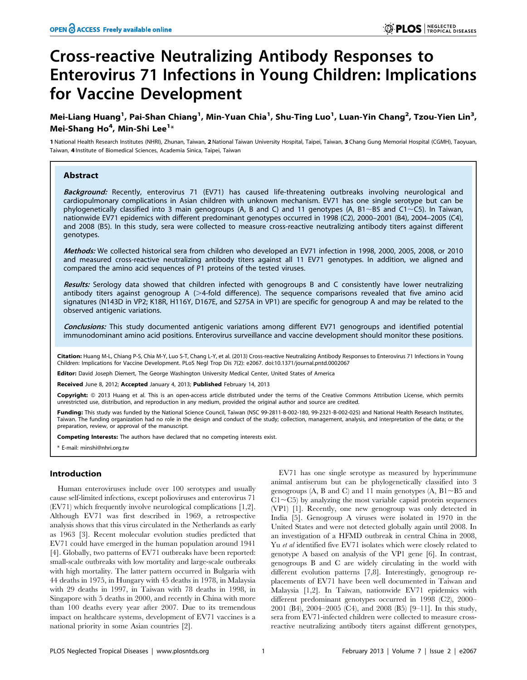# Cross-reactive Neutralizing Antibody Responses to Enterovirus 71 Infections in Young Children: Implications for Vaccine Development

## Mei-Liang Huang<sup>1</sup>, Pai-Shan Chiang<sup>1</sup>, Min-Yuan Chia<sup>1</sup>, Shu-Ting Luo<sup>1</sup>, Luan-Yin Chang<sup>2</sup>, Tzou-Yien Lin<sup>3</sup>, Mei-Shang Ho<sup>4</sup>, Min-Shi Lee<sup>1</sup>\*

1 National Health Research Institutes (NHRI), Zhunan, Taiwan, 2National Taiwan University Hospital, Taipei, Taiwan, 3 Chang Gung Memorial Hospital (CGMH), Taoyuan, Taiwan, 4 Institute of Biomedical Sciences, Academia Sinica, Taipei, Taiwan

## Abstract

Background: Recently, enterovirus 71 (EV71) has caused life-threatening outbreaks involving neurological and cardiopulmonary complications in Asian children with unknown mechanism. EV71 has one single serotype but can be phylogenetically classified into 3 main genogroups (A, B and C) and 11 genotypes (A, B1~B5 and C1~C5). In Taiwan, nationwide EV71 epidemics with different predominant genotypes occurred in 1998 (C2), 2000–2001 (B4), 2004–2005 (C4), and 2008 (B5). In this study, sera were collected to measure cross-reactive neutralizing antibody titers against different genotypes.

Methods: We collected historical sera from children who developed an EV71 infection in 1998, 2000, 2005, 2008, or 2010 and measured cross-reactive neutralizing antibody titers against all 11 EV71 genotypes. In addition, we aligned and compared the amino acid sequences of P1 proteins of the tested viruses.

Results: Serology data showed that children infected with genogroups B and C consistently have lower neutralizing antibody titers against genogroup A  $(>4$ -fold difference). The sequence comparisons revealed that five amino acid signatures (N143D in VP2; K18R, H116Y, D167E, and S275A in VP1) are specific for genogroup A and may be related to the observed antigenic variations.

Conclusions: This study documented antigenic variations among different EV71 genogroups and identified potential immunodominant amino acid positions. Enterovirus surveillance and vaccine development should monitor these positions.

Citation: Huang M-L, Chiang P-S, Chia M-Y, Luo S-T, Chang L-Y, et al. (2013) Cross-reactive Neutralizing Antibody Responses to Enterovirus 71 Infections in Young Children: Implications for Vaccine Development. PLoS Negl Trop Dis 7(2): e2067. doi:10.1371/journal.pntd.0002067

Editor: David Joseph Diemert, The George Washington University Medical Center, United States of America

Received June 8, 2012; Accepted January 4, 2013; Published February 14, 2013

Copyright: © 2013 Huang et al. This is an open-access article distributed under the terms of the Creative Commons Attribution License, which permits unrestricted use, distribution, and reproduction in any medium, provided the original author and source are credited.

Funding: This study was funded by the National Science Council, Taiwan (NSC 99-2811-B-002-180, 99-2321-B-002-025) and National Health Research Institutes, Taiwan. The funding organization had no role in the design and conduct of the study; collection, management, analysis, and interpretation of the data; or the preparation, review, or approval of the manuscript.

Competing Interests: The authors have declared that no competing interests exist.

\* E-mail: minshi@nhri.org.tw

## Introduction

Human enteroviruses include over 100 serotypes and usually cause self-limited infections, except polioviruses and enterovirus 71 (EV71) which frequently involve neurological complications [1,2]. Although EV71 was first described in 1969, a retrospective analysis shows that this virus circulated in the Netherlands as early as 1963 [3]. Recent molecular evolution studies predicted that EV71 could have emerged in the human population around 1941 [4]. Globally, two patterns of EV71 outbreaks have been reported: small-scale outbreaks with low mortality and large-scale outbreaks with high mortality. The latter pattern occurred in Bulgaria with 44 deaths in 1975, in Hungary with 45 deaths in 1978, in Malaysia with 29 deaths in 1997, in Taiwan with 78 deaths in 1998, in Singapore with 5 deaths in 2000, and recently in China with more than 100 deaths every year after 2007. Due to its tremendous impact on healthcare systems, development of EV71 vaccines is a national priority in some Asian countries [2].

EV71 has one single serotype as measured by hyperimmune animal antiserum but can be phylogenetically classified into 3 genogroups (A, B and C) and 11 main genotypes (A,  $B1 \sim B5$  and  $Cl \sim C5$ ) by analyzing the most variable capsid protein sequences (VP1) [1]. Recently, one new genogroup was only detected in India [5]. Genogroup A viruses were isolated in 1970 in the United States and were not detected globally again until 2008. In an investigation of a HFMD outbreak in central China in 2008, Yu et al identified five EV71 isolates which were closely related to genotype A based on analysis of the VP1 gene [6]. In contrast, genogroups B and C are widely circulating in the world with different evolution patterns [7,8]. Interestingly, genogroup replacements of EV71 have been well documented in Taiwan and Malaysia [1,2]. In Taiwan, nationwide EV71 epidemics with different predominant genotypes occurred in 1998 (C2), 2000– 2001 (B4), 2004–2005 (C4), and 2008 (B5) [9–11]. In this study, sera from EV71-infected children were collected to measure crossreactive neutralizing antibody titers against different genotypes,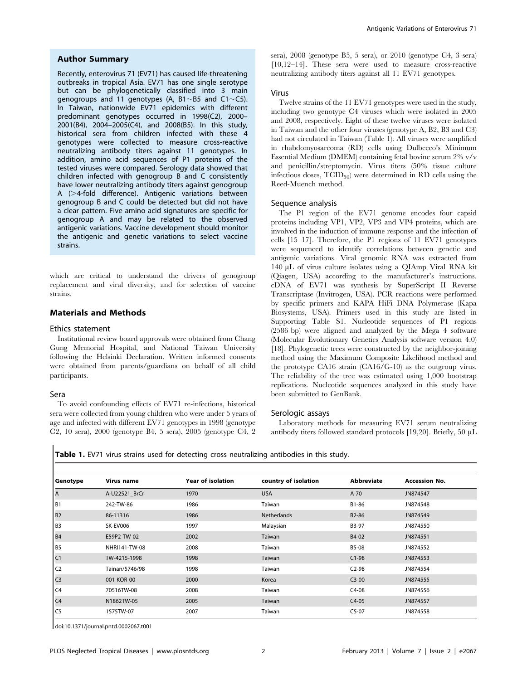## Author Summary

Recently, enterovirus 71 (EV71) has caused life-threatening outbreaks in tropical Asia. EV71 has one single serotype but can be phylogenetically classified into 3 main genogroups and 11 genotypes (A,  $B1~\sim$ B5 and C1 $~\sim$ C5). In Taiwan, nationwide EV71 epidemics with different predominant genotypes occurred in 1998(C2), 2000– 2001(B4), 2004–2005(C4), and 2008(B5). In this study, historical sera from children infected with these 4 genotypes were collected to measure cross-reactive neutralizing antibody titers against 11 genotypes. In addition, amino acid sequences of P1 proteins of the tested viruses were compared. Serology data showed that children infected with genogroup B and C consistently have lower neutralizing antibody titers against genogroup A  $($  >4-fold difference). Antigenic variations between genogroup B and C could be detected but did not have a clear pattern. Five amino acid signatures are specific for genogroup A and may be related to the observed antigenic variations. Vaccine development should monitor the antigenic and genetic variations to select vaccine strains.

which are critical to understand the drivers of genogroup replacement and viral diversity, and for selection of vaccine strains.

## Materials and Methods

## Ethics statement

Institutional review board approvals were obtained from Chang Gung Memorial Hospital, and National Taiwan University following the Helsinki Declaration. Written informed consents were obtained from parents/guardians on behalf of all child participants.

#### Sera

To avoid confounding effects of EV71 re-infections, historical sera were collected from young children who were under 5 years of age and infected with different EV71 genotypes in 1998 (genotype C2, 10 sera), 2000 (genotype B4, 5 sera), 2005 (genotype C4, 2 sera), 2008 (genotype B5, 5 sera), or 2010 (genotype C4, 3 sera) [10,12–14]. These sera were used to measure cross-reactive neutralizing antibody titers against all 11 EV71 genotypes.

#### Virus

Twelve strains of the 11 EV71 genotypes were used in the study, including two genotype C4 viruses which were isolated in 2005 and 2008, respectively. Eight of these twelve viruses were isolated in Taiwan and the other four viruses (genotype A, B2, B3 and C3) had not circulated in Taiwan (Table 1). All viruses were amplified in rhabdomyosarcoma (RD) cells using Dulbecco's Minimum Essential Medium (DMEM) containing fetal bovine serum 2% v/v and penicillin/streptomycin. Virus titers (50% tissue culture infectious doses,  $TCID_{50}$  were determined in RD cells using the Reed-Muench method.

#### Sequence analysis

The P1 region of the EV71 genome encodes four capsid proteins including VP1, VP2, VP3 and VP4 proteins, which are involved in the induction of immune response and the infection of cells [15–17]. Therefore, the P1 regions of 11 EV71 genotypes were sequenced to identify correlations between genetic and antigenic variations. Viral genomic RNA was extracted from 140 mL of virus culture isolates using a QIAmp Viral RNA kit (Qiagen, USA) according to the manufacturer's instructions. cDNA of EV71 was synthesis by SuperScript II Reverse Transcriptase (Invitrogen, USA). PCR reactions were performed by specific primers and KAPA HiFi DNA Polymerase (Kapa Biosystems, USA). Primers used in this study are listed in Supporting Table S1. Nucleotide sequences of P1 regions (2586 bp) were aligned and analyzed by the Mega 4 software (Molecular Evolutionary Genetics Analysis software version 4.0) [18]. Phylogenetic trees were constructed by the neighbor-joining method using the Maximum Composite Likelihood method and the prototype CA16 strain (CA16/G-10) as the outgroup virus. The reliability of the tree was estimated using 1,000 bootstrap replications. Nucleotide sequences analyzed in this study have been submitted to GenBank.

#### Serologic assays

Laboratory methods for measuring EV71 serum neutralizing antibody titers followed standard protocols [19,20]. Briefly, 50  $\mu$ L

Table 1. EV71 virus strains used for detecting cross neutralizing antibodies in this study.

| Genotype       | Virus name     | <b>Year of isolation</b> | country of isolation | <b>Abbreviate</b>  | <b>Accession No.</b> |
|----------------|----------------|--------------------------|----------------------|--------------------|----------------------|
| l A            | A-U22521 BrCr  | 1970                     | <b>USA</b>           | $A-70$             | JN874547             |
| B1             | 242-TW-86      | 1986                     | Taiwan               | B1-86              | JN874548             |
| B <sub>2</sub> | 86-11316       | 1986                     | <b>Netherlands</b>   | B <sub>2</sub> -86 | JN874549             |
| B <sub>3</sub> | SK-EV006       | 1997                     | Malaysian            | B3-97              | JN874550             |
| B <sub>4</sub> | E59P2-TW-02    | 2002                     | Taiwan               | B4-02              | JN874551             |
| B <sub>5</sub> | NHRI141-TW-08  | 2008                     | Taiwan               | B5-08              | JN874552             |
| C1             | TW-4215-1998   | 1998                     | Taiwan               | $C1-98$            | JN874553             |
| C <sub>2</sub> | Tainan/5746/98 | 1998                     | Taiwan               | $C2-98$            | JN874554             |
| C <sub>3</sub> | 001-KOR-00     | 2000                     | Korea                | $C3-00$            | JN874555             |
| C4             | 70516TW-08     | 2008                     | Taiwan               | $C4-08$            | JN874556             |
| C <sub>4</sub> | N1862TW-05     | 2005                     | Taiwan               | $C4-05$            | JN874557             |
| C <sub>5</sub> | 1575TW-07      | 2007                     | Taiwan               | $C5-07$            | JN874558             |

doi:10.1371/journal.pntd.0002067.t001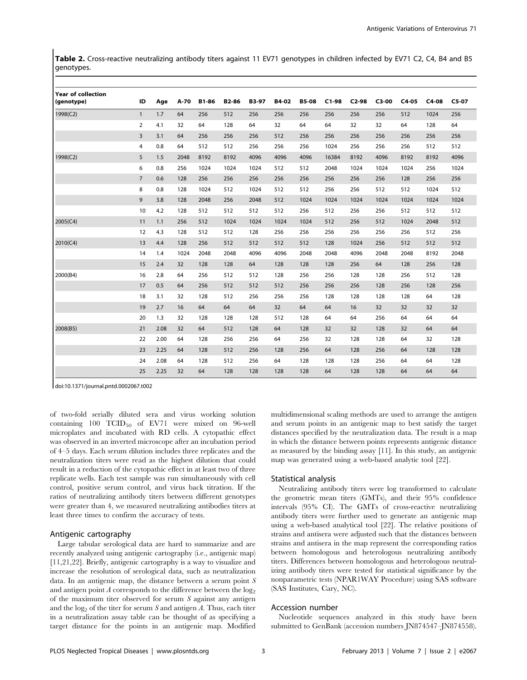Table 2. Cross-reactive neutralizing antibody titers against 11 EV71 genotypes in children infected by EV71 C2, C4, B4 and B5 genotypes.

| <b>Year of collection</b><br>(genotype) | ID             | Age  | A-70 | <b>B1-86</b> | B2-86 | <b>B3-97</b> | B4-02 | <b>B5-08</b> | $C1-98$ | $C2-98$ | $C3-00$ | $C4-05$ | $C4-08$ | $C5-07$ |
|-----------------------------------------|----------------|------|------|--------------|-------|--------------|-------|--------------|---------|---------|---------|---------|---------|---------|
| 1998(C2)                                | $\mathbf{1}$   | 1.7  | 64   | 256          | 512   | 256          | 256   | 256          | 256     | 256     | 256     | 512     | 1024    | 256     |
|                                         | 2              | 4.1  | 32   | 64           | 128   | 64           | 32    | 64           | 64      | 32      | 32      | 64      | 128     | 64      |
|                                         | 3              | 3.1  | 64   | 256          | 256   | 256          | 512   | 256          | 256     | 256     | 256     | 256     | 256     | 256     |
|                                         | 4              | 0.8  | 64   | 512          | 512   | 256          | 256   | 256          | 1024    | 256     | 256     | 256     | 512     | 512     |
| 1998(C2)                                | 5              | 1.5  | 2048 | 8192         | 8192  | 4096         | 4096  | 4096         | 16384   | 8192    | 4096    | 8192    | 8192    | 4096    |
|                                         | 6              | 0.8  | 256  | 1024         | 1024  | 1024         | 512   | 512          | 2048    | 1024    | 1024    | 1024    | 256     | 1024    |
|                                         | $\overline{7}$ | 0.6  | 128  | 256          | 256   | 256          | 256   | 256          | 256     | 256     | 256     | 128     | 256     | 256     |
|                                         | 8              | 0.8  | 128  | 1024         | 512   | 1024         | 512   | 512          | 256     | 256     | 512     | 512     | 1024    | 512     |
|                                         | 9              | 3.8  | 128  | 2048         | 256   | 2048         | 512   | 1024         | 1024    | 1024    | 1024    | 1024    | 1024    | 1024    |
|                                         | 10             | 4.2  | 128  | 512          | 512   | 512          | 512   | 256          | 512     | 256     | 256     | 512     | 512     | 512     |
| 2005(C4)                                | 11             | 1.1  | 256  | 512          | 1024  | 1024         | 1024  | 1024         | 512     | 256     | 512     | 1024    | 2048    | 512     |
|                                         | 12             | 4.3  | 128  | 512          | 512   | 128          | 256   | 256          | 256     | 256     | 256     | 256     | 512     | 256     |
| 2010(C4)                                | 13             | 4.4  | 128  | 256          | 512   | 512          | 512   | 512          | 128     | 1024    | 256     | 512     | 512     | 512     |
|                                         | 14             | 1.4  | 1024 | 2048         | 2048  | 4096         | 4096  | 2048         | 2048    | 4096    | 2048    | 2048    | 8192    | 2048    |
|                                         | 15             | 2.4  | 32   | 128          | 128   | 64           | 128   | 128          | 128     | 256     | 64      | 128     | 256     | 128     |
| 2000(B4)                                | 16             | 2.8  | 64   | 256          | 512   | 512          | 128   | 256          | 256     | 128     | 128     | 256     | 512     | 128     |
|                                         | 17             | 0.5  | 64   | 256          | 512   | 512          | 512   | 256          | 256     | 256     | 128     | 256     | 128     | 256     |
|                                         | 18             | 3.1  | 32   | 128          | 512   | 256          | 256   | 256          | 128     | 128     | 128     | 128     | 64      | 128     |
|                                         | 19             | 2.7  | 16   | 64           | 64    | 64           | 32    | 64           | 64      | 16      | 32      | 32      | 32      | 32      |
|                                         | 20             | 1.3  | 32   | 128          | 128   | 128          | 512   | 128          | 64      | 64      | 256     | 64      | 64      | 64      |
| 2008(B5)                                | 21             | 2.08 | 32   | 64           | 512   | 128          | 64    | 128          | 32      | 32      | 128     | 32      | 64      | 64      |
|                                         | 22             | 2.00 | 64   | 128          | 256   | 256          | 64    | 256          | 32      | 128     | 128     | 64      | 32      | 128     |
|                                         | 23             | 2.25 | 64   | 128          | 512   | 256          | 128   | 256          | 64      | 128     | 256     | 64      | 128     | 128     |
|                                         | 24             | 2.08 | 64   | 128          | 512   | 256          | 64    | 128          | 128     | 128     | 256     | 64      | 64      | 128     |
|                                         | 25             | 2.25 | 32   | 64           | 128   | 128          | 128   | 128          | 64      | 128     | 128     | 64      | 64      | 64      |

doi:10.1371/journal.pntd.0002067.t002

of two-fold serially diluted sera and virus working solution containing 100  $TCID_{50}$  of EV71 were mixed on 96-well microplates and incubated with RD cells. A cytopathic effect was observed in an inverted microscope after an incubation period of 4–5 days. Each serum dilution includes three replicates and the neutralization titers were read as the highest dilution that could result in a reduction of the cytopathic effect in at least two of three replicate wells. Each test sample was run simultaneously with cell control, positive serum control, and virus back titration. If the ratios of neutralizing antibody titers between different genotypes were greater than 4, we measured neutralizing antibodies titers at least three times to confirm the accuracy of tests.

## Antigenic cartography

Large tabular serological data are hard to summarize and are recently analyzed using antigenic cartography (i.e., antigenic map) [11,21,22]. Briefly, antigenic cartography is a way to visualize and increase the resolution of serological data, such as neutralization data. In an antigenic map, the distance between a serum point S and antigen point  $A$  corresponds to the difference between the  $\log_2$ of the maximum titer observed for serum  $S$  against any antigen and the  $log_2$  of the titer for serum S and antigen A. Thus, each titer in a neutralization assay table can be thought of as specifying a target distance for the points in an antigenic map. Modified multidimensional scaling methods are used to arrange the antigen and serum points in an antigenic map to best satisfy the target distances specified by the neutralization data. The result is a map in which the distance between points represents antigenic distance as measured by the binding assay [11]. In this study, an antigenic map was generated using a web-based analytic tool [22].

## Statistical analysis

Neutralizing antibody titers were log transformed to calculate the geometric mean titers (GMTs), and their 95% confidence intervals (95% CI). The GMTs of cross-reactive neutralizing antibody titers were further used to generate an antigenic map using a web-based analytical tool [22]. The relative positions of strains and antisera were adjusted such that the distances between strains and antisera in the map represent the corresponding ratios between homologous and heterologous neutralizing antibody titers. Differences between homologous and heterologous neutralizing antibody titers were tested for statistical significance by the nonparametric tests (NPAR1WAY Procedure) using SAS software (SAS Institutes, Cary, NC).

#### Accession number

Nucleotide sequences analyzed in this study have been submitted to GenBank (accession numbers JN874547–JN874558).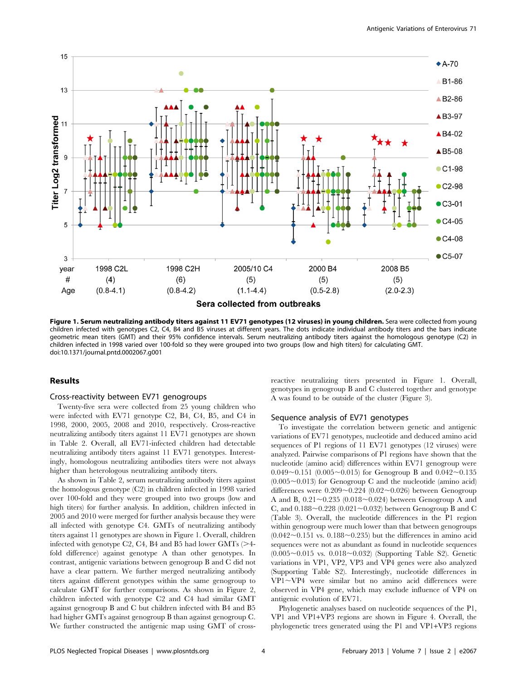

Sera collected from outbreaks

Figure 1. Serum neutralizing antibody titers against 11 EV71 genotypes (12 viruses) in young children. Sera were collected from young children infected with genotypes C2, C4, B4 and B5 viruses at different years. The dots indicate individual antibody titers and the bars indicate geometric mean titers (GMT) and their 95% confidence intervals. Serum neutralizing antibody titers against the homologous genotype (C2) in children infected in 1998 varied over 100-fold so they were grouped into two groups (low and high titers) for calculating GMT. doi:10.1371/journal.pntd.0002067.g001

## Results

## Cross-reactivity between EV71 genogroups

Twenty-five sera were collected from 25 young children who were infected with EV71 genotype C2, B4, C4, B5, and C4 in 1998, 2000, 2005, 2008 and 2010, respectively. Cross-reactive neutralizing antibody titers against 11 EV71 genotypes are shown in Table 2. Overall, all EV71-infected children had detectable neutralizing antibody titers against 11 EV71 genotypes. Interestingly, homologous neutralizing antibodies titers were not always higher than heterologous neutralizing antibody titers.

As shown in Table 2, serum neutralizing antibody titers against the homologous genotype (C2) in children infected in 1998 varied over 100-fold and they were grouped into two groups (low and high titers) for further analysis. In addition, children infected in 2005 and 2010 were merged for further analysis because they were all infected with genotype C4. GMTs of neutralizing antibody titers against 11 genotypes are shown in Figure 1. Overall, children infected with genotype C2, C4, B4 and B5 had lower GMTs  $(>4$ fold difference) against genotype A than other genotypes. In contrast, antigenic variations between genogroup B and C did not have a clear pattern. We further merged neutralizing antibody titers against different genotypes within the same genogroup to calculate GMT for further comparisons. As shown in Figure 2, children infected with genotype C2 and C4 had similar GMT against genogroup B and C but children infected with B4 and B5 had higher GMTs against genogroup B than against genogroup C. We further constructed the antigenic map using GMT of crossreactive neutralizing titers presented in Figure 1. Overall, genotypes in genogroup B and C clustered together and genotype A was found to be outside of the cluster (Figure 3).

## Sequence analysis of EV71 genotypes

To investigate the correlation between genetic and antigenic variations of EV71 genotypes, nucleotide and deduced amino acid sequences of P1 regions of 11 EV71 genotypes (12 viruses) were analyzed. Pairwise comparisons of P1 regions have shown that the nucleotide (amino acid) differences within EV71 genogroup were 0.049~0.151 (0.005~0.015) for Genogroup B and  $0.042$ ~0.135  $(0.005\sim0.013)$  for Genogroup C and the nucleotide (amino acid) differences were  $0.209 \sim 0.224$  (0.02 $\sim$ 0.026) between Genogroup A and B,  $0.21 \sim 0.235$  (0.018 $\sim$ 0.024) between Genogroup A and C, and  $0.188 \sim 0.228$  (0.021 $\sim$ 0.032) between Genogroup B and C (Table 3). Overall, the nucleotide differences in the P1 region within genogroup were much lower than that between genogroups  $(0.042\sim0.151$  vs.  $0.188\sim0.235)$  but the differences in amino acid sequences were not as abundant as found in nucleotide sequences  $(0.005 \sim 0.015$  vs.  $0.018 \sim 0.032)$  (Supporting Table S2). Genetic variations in VP1, VP2, VP3 and VP4 genes were also analyzed (Supporting Table S2). Interestingly, nucleotide differences in VP1~VP4 were similar but no amino acid differences were observed in VP4 gene, which may exclude influence of VP4 on antigenic evolution of EV71.

Phylogenetic analyses based on nucleotide sequences of the P1, VP1 and VP1+VP3 regions are shown in Figure 4. Overall, the phylogenetic trees generated using the P1 and VP1+VP3 regions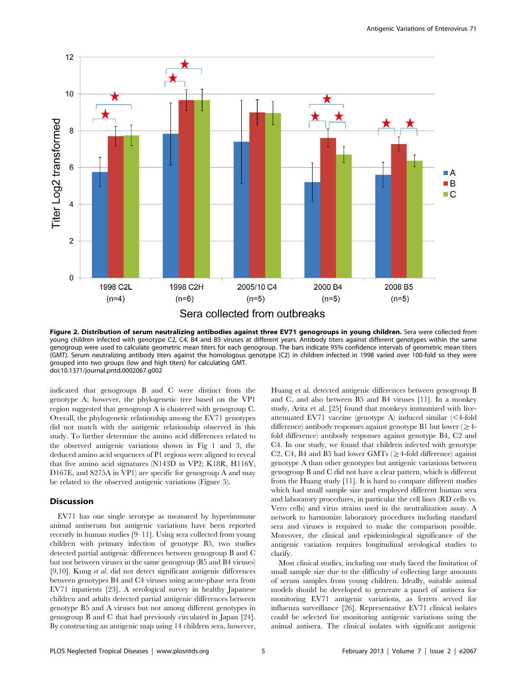

Figure 2. Distribution of serum neutralizing antibodies against three EV71 genogroups in young children. Sera were collected from young children infected with genotype C2, C4, B4 and B5 viruses at different years. Antibody titers against different genotypes within the same genogroup were used to calculate geometric mean titers for each genogroup. The bars indicate 95% confidence intervals of geometric mean titers (GMT). Serum neutralizing antibody titers against the homologous genotype (C2) in children infected in 1998 varied over 100-fold so they were grouped into two groups (low and high titers) for calculating GMT. doi:10.1371/journal.pntd.0002067.g002

indicated that genogroups B and C were distinct from the genotype A; however, the phylogenetic tree based on the VP1 region suggested that genogroup A is clustered with genogroup C. Overall, the phylogenetic relationship among the EV71 genotypes did not match with the antigenic relationship observed in this study. To further determine the amino acid differences related to the observed antigenic variations shown in Fig 1 and 3, the deduced amino acid sequences of P1 regions were aligned to reveal that five amino acid signatures (N143D in VP2; K18R, H116Y, D167E, and S275A in VP1) are specific for genogroup A and may be related to the observed antigenic variations (Figure 5).

## Discussion

EV71 has one single serotype as measured by hyperimmune animal antiserum but antigenic variations have been reported recently in human studies [9–11]. Using sera collected from young children with primary infection of genotype B5, two studies detected partial antigenic differences between genogroup B and C but not between viruses in the same genogroup (B5 and B4 viruses) [9,10]. Kung et al. did not detect significant antigenic differences between genotypes B4 and C4 viruses using acute-phase sera from EV71 inpatients [23]. A serological survey in healthy Japanese children and adults detected partial antigenic differences between genotype B5 and A viruses but not among different genotypes in genogroup B and C that had previously circulated in Japan [24]. By constructing an antigenic map using 14 children sera, however, Huang et al. detected antigenic differences between genogroup B and C, and also between B5 and B4 viruses [11]. In a monkey study, Arita et al. [25] found that monkeys immunized with liveattenuated EV71 vaccine (genotype A) induced similar  $\leq$ 4-fold difference) antibody responses against genotype B1 but lower ( $\geq$ 4fold difference) antibody responses against genotype B4, C2 and C4. In our study, we found that children infected with genotype C2, C4, B4 and B5 had lower GMTs ( $\geq$ 4-fold difference) against genotype A than other genotypes but antigenic variations between genogroup B and C did not have a clear pattern, which is different from the Huang study [11]. It is hard to compare different studies which had small sample size and employed different human sera and laboratory procedures, in particular the cell lines (RD cells vs. Vero cells) and virus strains used in the neutralization assay. A network to harmonize laboratory procedures including standard sera and viruses is required to make the comparison possible. Moreover, the clinical and epidemiological significance of the antigenic variation requires longitudinal serological studies to clarify.

Most clinical studies, including our study faced the limitation of small sample size due to the difficulty of collecting large amounts of serum samples from young children. Ideally, suitable animal models should be developed to generate a panel of antisera for monitoring EV71 antigenic variations, as ferrets served for influenza surveillance [26]. Representative EV71 clinical isolates could be selected for monitoring antigenic variations using the animal antisera. The clinical isolates with significant antigenic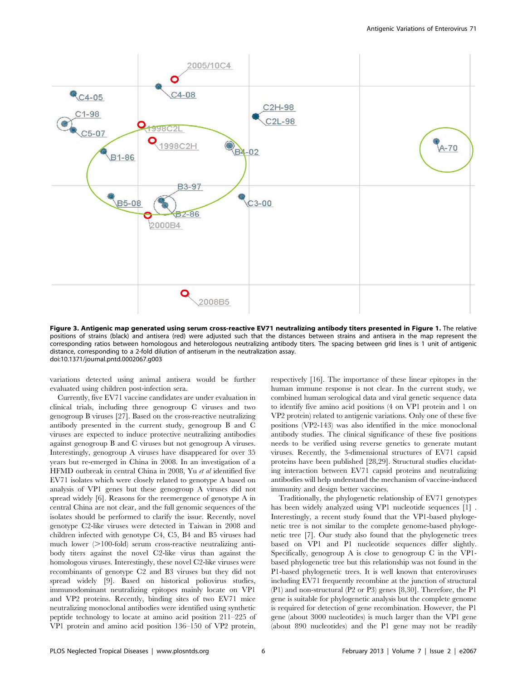

Figure 3. Antigenic map generated using serum cross-reactive EV71 neutralizing antibody titers presented in Figure 1. The relative positions of strains (black) and antisera (red) were adjusted such that the distances between strains and antisera in the map represent the corresponding ratios between homologous and heterologous neutralizing antibody titers. The spacing between grid lines is 1 unit of antigenic distance, corresponding to a 2-fold dilution of antiserum in the neutralization assay. doi:10.1371/journal.pntd.0002067.g003

variations detected using animal antisera would be further evaluated using children post-infection sera.

Currently, five EV71 vaccine candidates are under evaluation in clinical trials, including three genogroup C viruses and two genogroup B viruses [27]. Based on the cross-reactive neutralizing antibody presented in the current study, genogroup B and C viruses are expected to induce protective neutralizing antibodies against genogroup B and C viruses but not genogroup A viruses. Interestingly, genogroup A viruses have disappeared for over 35 years but re-emerged in China in 2008. In an investigation of a HFMD outbreak in central China in 2008, Yu et al identified five EV71 isolates which were closely related to genotype A based on analysis of VP1 genes but these genogroup A viruses did not spread widely [6]. Reasons for the reemergence of genotype A in central China are not clear, and the full genomic sequences of the isolates should be performed to clarify the issue. Recently, novel genotype C2-like viruses were detected in Taiwan in 2008 and children infected with genotype C4, C5, B4 and B5 viruses had much lower  $(>100$ -fold) serum cross-reactive neutralizing antibody titers against the novel C2-like virus than against the homologous viruses. Interestingly, these novel C2-like viruses were recombinants of genotype C2 and B3 viruses but they did not spread widely [9]. Based on historical poliovirus studies, immunodominant neutralizing epitopes mainly locate on VP1 and VP2 proteins. Recently, binding sites of two EV71 mice neutralizing monoclonal antibodies were identified using synthetic peptide technology to locate at amino acid position 211–225 of VP1 protein and amino acid position 136–150 of VP2 protein, respectively [16]. The importance of these linear epitopes in the human immune response is not clear. In the current study, we combined human serological data and viral genetic sequence data to identify five amino acid positions (4 on VP1 protein and 1 on VP2 protein) related to antigenic variations. Only one of these five positions (VP2-143) was also identified in the mice monoclonal antibody studies. The clinical significance of these five positions needs to be verified using reverse genetics to generate mutant viruses. Recently, the 3-dimensional structures of EV71 capsid proteins have been published [28,29]. Structural studies elucidating interaction between EV71 capsid proteins and neutralizing antibodies will help understand the mechanism of vaccine-induced immunity and design better vaccines.

Traditionally, the phylogenetic relationship of EV71 genotypes has been widely analyzed using VP1 nucleotide sequences [1] . Interestingly, a recent study found that the VP1-based phylogenetic tree is not similar to the complete genome-based phylogenetic tree [7]. Our study also found that the phylogenetic trees based on VP1 and P1 nucleotide sequences differ slightly. Specifically, genogroup A is close to genogroup C in the VP1 based phylogenetic tree but this relationship was not found in the P1-based phylogenetic trees. It is well known that enteroviruses including EV71 frequently recombine at the junction of structural (P1) and non-structural (P2 or P3) genes [8,30]. Therefore, the P1 gene is suitable for phylogenetic analysis but the complete genome is required for detection of gene recombination. However, the P1 gene (about 3000 nucleotides) is much larger than the VP1 gene (about 890 nucleotides) and the P1 gene may not be readily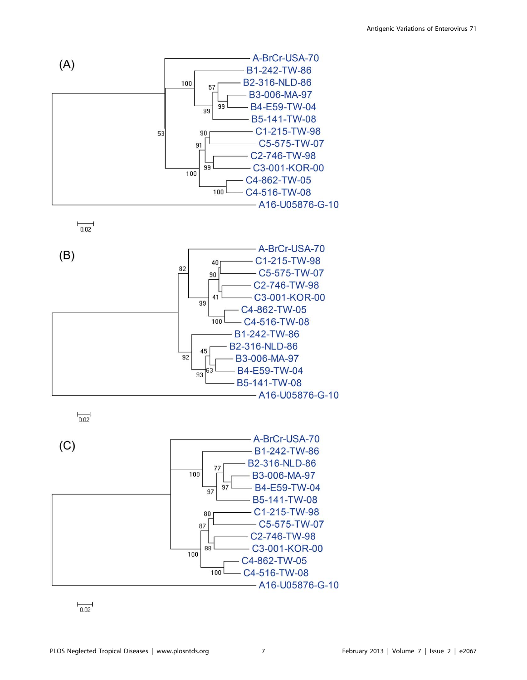

 $\overline{0.02}$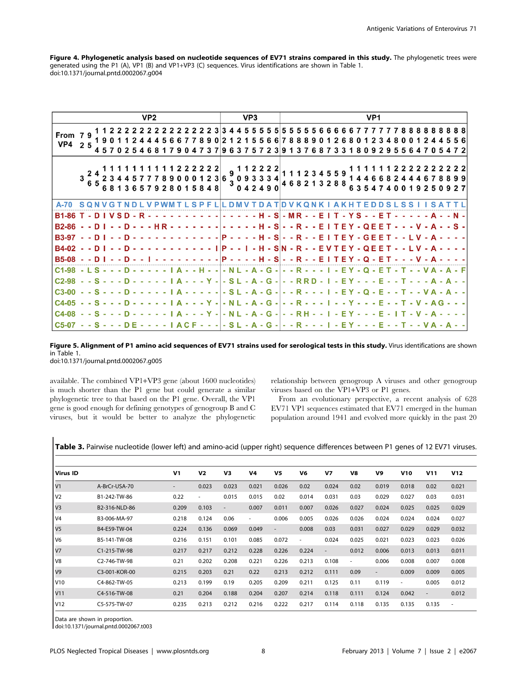Figure 4. Phylogenetic analysis based on nucleotide sequences of EV71 strains compared in this study. The phylogenetic trees were generated using the P1 (A), VP1 (B) and VP1+VP3 (C) sequences. Virus identifications are shown in Table 1. doi:10.1371/journal.pntd.0002067.g004

|                                                                                                                 |                                                                                      |            |   |            |  | VP <sub>2</sub>                                                                                                                                                                                                                                                                                                                                   |  |  |  |            |   |            |     | VP <sub>3</sub> |    |         |  |  |                            |                                                                               |  |   |               |     | VP <sub>1</sub> |  |   |              |                 |  |  |                                                                                                           |
|-----------------------------------------------------------------------------------------------------------------|--------------------------------------------------------------------------------------|------------|---|------------|--|---------------------------------------------------------------------------------------------------------------------------------------------------------------------------------------------------------------------------------------------------------------------------------------------------------------------------------------------------|--|--|--|------------|---|------------|-----|-----------------|----|---------|--|--|----------------------------|-------------------------------------------------------------------------------|--|---|---------------|-----|-----------------|--|---|--------------|-----------------|--|--|-----------------------------------------------------------------------------------------------------------|
| From 79<br>VP4                                                                                                  | 25                                                                                   | 19.<br>457 |   |            |  |                                                                                                                                                                                                                                                                                                                                                   |  |  |  | 8<br>-9    | 0 | 21215<br>9 | 637 | 5               | -5 | 66<br>2 |  |  |                            | 2 2 2 2 2 2 3 3 4 4 5 5 5 5 5 5 5 5 5 5 6 6 6 6 6 7 7 7<br>88890126801<br>687 |  | 3 |               |     | 23              |  | 8 |              |                 |  |  | 77888888888<br>44556                                                                                      |
|                                                                                                                 | $3\begin{array}{l} 3\end{array}\begin{array}{l} 7\end{array}$ 2 3 4 4<br>6 5 6 8 1 3 |            |   |            |  | $\begin{array}{c cccc} 1 & 1 & 1 & 1 & 2 & 2 & 2 & 2 & 2 \\ 7 & 7 & 8 & 9 & 0 & 0 & 0 & 1 & 2 & 3 \\ 7 & 9 & 2 & 8 & 0 & 1 & 5 & 8 & 4 & 8 \end{array} \hspace{.2cm} , \, \, \begin{array}{c cccc} 9 & 1 & 1 & 2 & 2 & 2 & 2 \\ 9 & 0 & 9 & 3 & 3 & 3 & 3 & 4 \\ 3 & 0 & 9 & 3 & 3 & 3 & 3 & 4 \\ 0 & 0 & 4 & 2 & 4 & 9 & 0 \end{array} \hspace{$ |  |  |  |            |   |            |     |                 |    |         |  |  |                            | 111234559<br>468213288                                                        |  |   | 1446<br>6 3 5 |     |                 |  |   |              |                 |  |  | 222222<br>678899<br>0927                                                                                  |
| A-70                                                                                                            | SONV                                                                                 |            | G |            |  |                                                                                                                                                                                                                                                                                                                                                   |  |  |  |            |   |            |     |                 |    |         |  |  | <b>LSPFLILDMVTDATIDVKQ</b> | <b>NKIAKHT</b>                                                                |  |   |               | E D |                 |  |   | <b>SLSSI</b> |                 |  |  |                                                                                                           |
| <b>B1-86</b>                                                                                                    |                                                                                      |            |   | $SD - R -$ |  |                                                                                                                                                                                                                                                                                                                                                   |  |  |  | <u>. 1</u> |   |            |     |                 |    |         |  |  |                            | $- - - - +$ H $-$ S $-$ MR $- -$ E I T $-$ Y S $- -$ E T                      |  |   |               |     |                 |  |   |              |                 |  |  | - - - - - A - - N -                                                                                       |
| B2-86 - - D I - - D - - - H R - - - - - - - - - - - - - H - S - - R - - E I T E Y - Q E E T - - - V - A - - S - |                                                                                      |            |   |            |  |                                                                                                                                                                                                                                                                                                                                                   |  |  |  |            |   |            |     |                 |    |         |  |  |                            |                                                                               |  |   |               |     |                 |  |   |              |                 |  |  |                                                                                                           |
| <b>B3-97</b>                                                                                                    | $-$ D I                                                                              |            |   |            |  |                                                                                                                                                                                                                                                                                                                                                   |  |  |  |            |   |            |     |                 |    |         |  |  |                            |                                                                               |  |   |               |     |                 |  |   |              |                 |  |  | --D-------------P----H-S--R--EITEY-GEET--LV-A----                                                         |
| <b>B4-02</b>                                                                                                    |                                                                                      |            |   |            |  |                                                                                                                                                                                                                                                                                                                                                   |  |  |  |            |   |            |     |                 |    |         |  |  |                            | - - - - - - - - - I   P - - I - H - S   N - R - - E V T E Y - Q E E           |  |   |               |     |                 |  |   |              |                 |  |  |                                                                                                           |
| $B5-08 - D1 - D - 1$                                                                                            |                                                                                      |            |   |            |  |                                                                                                                                                                                                                                                                                                                                                   |  |  |  |            |   |            |     |                 |    |         |  |  |                            |                                                                               |  |   |               |     |                 |  |   |              | $- - - V - A -$ |  |  |                                                                                                           |
| C1-98 - L S - - - D - - - - - I A - - H - - - N L - A - G - - - R - - - I - E Y - Q - E T - T - - V A - A - F   |                                                                                      |            |   |            |  |                                                                                                                                                                                                                                                                                                                                                   |  |  |  |            |   |            |     |                 |    |         |  |  |                            |                                                                               |  |   |               |     |                 |  |   |              |                 |  |  |                                                                                                           |
| C2-98 - - S - - - D - - - - - - I A - - - Y - - S L - A - G - - - RRD - I - E Y - - - E - - T - - - A - A - -   |                                                                                      |            |   |            |  |                                                                                                                                                                                                                                                                                                                                                   |  |  |  |            |   |            |     |                 |    |         |  |  |                            |                                                                               |  |   |               |     |                 |  |   |              |                 |  |  |                                                                                                           |
| $C3-00$                                                                                                         |                                                                                      |            |   |            |  |                                                                                                                                                                                                                                                                                                                                                   |  |  |  |            |   |            |     |                 |    |         |  |  |                            |                                                                               |  |   |               |     |                 |  |   |              |                 |  |  | - - S - - - D - - - - - -   A - - - - - - S L - A - G - - - R - - -   - E Y - Q - E - - T - - V A - A - - |
|                                                                                                                 |                                                                                      |            |   |            |  |                                                                                                                                                                                                                                                                                                                                                   |  |  |  |            |   |            |     |                 |    |         |  |  |                            |                                                                               |  |   |               |     |                 |  |   |              |                 |  |  | - - S - - - D - - - - - -   A - - - Y - - N L - A - G - - - R - - -   - - Y - - - E - - T - V - A G - - - |
| C4-08                                                                                                           |                                                                                      |            |   |            |  |                                                                                                                                                                                                                                                                                                                                                   |  |  |  |            |   |            |     |                 |    |         |  |  |                            |                                                                               |  |   |               |     |                 |  |   |              |                 |  |  |                                                                                                           |
|                                                                                                                 |                                                                                      |            |   |            |  |                                                                                                                                                                                                                                                                                                                                                   |  |  |  |            |   |            |     |                 |    |         |  |  |                            |                                                                               |  |   |               |     |                 |  |   |              |                 |  |  | - - S - - - DE - - - -   ACF - - - - SL - A - G - - - R - - -   - EY - - - E - - T - - VA - A - -         |

Figure 5. Alignment of P1 amino acid sequences of EV71 strains used for serological tests in this study. Virus identifications are shown in Table 1. doi:10.1371/journal.pntd.0002067.g005

available. The combined VP1+VP3 gene (about 1600 nucleotides) is much shorter than the P1 gene but could generate a similar phylogenetic tree to that based on the P1 gene. Overall, the VP1 gene is good enough for defining genotypes of genogroup B and C viruses, but it would be better to analyze the phylogenetic relationship between genogroup A viruses and other genogroup viruses based on the VP1+VP3 or P1 genes.

From an evolutionary perspective, a recent analysis of 628 EV71 VP1 sequences estimated that EV71 emerged in the human population around 1941 and evolved more quickly in the past 20

| <b>Virus ID</b>                    |               | V <sub>1</sub> | V <sub>2</sub> | V3    | V <sub>4</sub> | V5                       | V <sub>6</sub> | V <sub>7</sub>           | V8                       | V9                       | <b>V10</b> | V11                      | <b>V12</b> |
|------------------------------------|---------------|----------------|----------------|-------|----------------|--------------------------|----------------|--------------------------|--------------------------|--------------------------|------------|--------------------------|------------|
| $\mathsf{V}$ 1                     | A-BrCr-USA-70 | ٠              | 0.023          | 0.023 | 0.021          | 0.026                    | 0.02           | 0.024                    | 0.02                     | 0.019                    | 0.018      | 0.02                     | 0.021      |
| $\mathsf{I} \mathsf{V} \mathsf{2}$ | B1-242-TW-86  | 0.22           | ٠              | 0.015 | 0.015          | 0.02                     | 0.014          | 0.031                    | 0.03                     | 0.029                    | 0.027      | 0.03                     | 0.031      |
| $\mathsf{IV}3$                     | B2-316-NLD-86 | 0.209          | 0.103          | ٠     | 0.007          | 0.011                    | 0.007          | 0.026                    | 0.027                    | 0.024                    | 0.025      | 0.025                    | 0.029      |
| V4                                 | B3-006-MA-97  | 0.218          | 0.124          | 0.06  | $\sim$         | 0.006                    | 0.005          | 0.026                    | 0.026                    | 0.024                    | 0.024      | 0.024                    | 0.027      |
| I <sub>V5</sub>                    | B4-E59-TW-04  | 0.224          | 0.136          | 0.069 | 0.049          | $\overline{\phantom{a}}$ | 0.008          | 0.03                     | 0.031                    | 0.027                    | 0.029      | 0.029                    | 0.032      |
| l V6                               | B5-141-TW-08  | 0.216          | 0.151          | 0.101 | 0.085          | 0.072                    | ٠              | 0.024                    | 0.025                    | 0.021                    | 0.023      | 0.023                    | 0.026      |
| $\mathsf{IV}$                      | C1-215-TW-98  | 0.217          | 0.217          | 0.212 | 0.228          | 0.226                    | 0.224          | $\overline{\phantom{a}}$ | 0.012                    | 0.006                    | 0.013      | 0.013                    | 0.011      |
| V8                                 | C2-746-TW-98  | 0.21           | 0.202          | 0.208 | 0.221          | 0.226                    | 0.213          | 0.108                    | $\overline{\phantom{a}}$ | 0.006                    | 0.008      | 0.007                    | 0.008      |
| $\mathsf{V}9$                      | C3-001-KOR-00 | 0.215          | 0.203          | 0.21  | 0.22           | 0.213                    | 0.212          | 0.111                    | 0.09                     | $\overline{\phantom{a}}$ | 0.009      | 0.009                    | 0.005      |
| V10                                | C4-862-TW-05  | 0.213          | 0.199          | 0.19  | 0.205          | 0.209                    | 0.211          | 0.125                    | 0.11                     | 0.119                    | $\sim$     | 0.005                    | 0.012      |
| IV11                               | C4-516-TW-08  | 0.21           | 0.204          | 0.188 | 0.204          | 0.207                    | 0.214          | 0.118                    | 0.111                    | 0.124                    | 0.042      | $\overline{\phantom{a}}$ | 0.012      |
| IV12                               | C5-575-TW-07  | 0.235          | 0.213          | 0.212 | 0.216          | 0.222                    | 0.217          | 0.114                    | 0.118                    | 0.135                    | 0.135      | 0.135                    | $\sim$     |

Table 3. Pairwise nucleotide (lower left) and amino-acid (upper right) sequence differences between P1 genes of 12 EV71 viruses.

Data are shown in proportion.

doi:10.1371/journal.pntd.0002067.t003